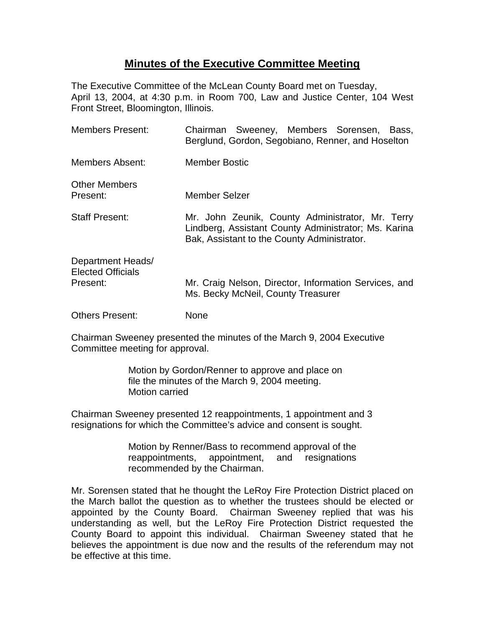## **Minutes of the Executive Committee Meeting**

The Executive Committee of the McLean County Board met on Tuesday, April 13, 2004, at 4:30 p.m. in Room 700, Law and Justice Center, 104 West Front Street, Bloomington, Illinois.

| <b>Members Present:</b>                                   | Chairman Sweeney, Members Sorensen, Bass,<br>Berglund, Gordon, Segobiano, Renner, and Hoselton                                                          |
|-----------------------------------------------------------|---------------------------------------------------------------------------------------------------------------------------------------------------------|
| Members Absent:                                           | <b>Member Bostic</b>                                                                                                                                    |
| <b>Other Members</b><br>Present:                          | Member Selzer                                                                                                                                           |
| <b>Staff Present:</b>                                     | Mr. John Zeunik, County Administrator, Mr. Terry<br>Lindberg, Assistant County Administrator; Ms. Karina<br>Bak, Assistant to the County Administrator. |
| Department Heads/<br><b>Elected Officials</b><br>Present: | Mr. Craig Nelson, Director, Information Services, and<br>Ms. Becky McNeil, County Treasurer                                                             |
| <b>Others Present:</b>                                    | None                                                                                                                                                    |

Chairman Sweeney presented the minutes of the March 9, 2004 Executive Committee meeting for approval.

> Motion by Gordon/Renner to approve and place on file the minutes of the March 9, 2004 meeting. Motion carried

Chairman Sweeney presented 12 reappointments, 1 appointment and 3 resignations for which the Committee's advice and consent is sought.

> Motion by Renner/Bass to recommend approval of the reappointments, appointment, and resignations recommended by the Chairman.

Mr. Sorensen stated that he thought the LeRoy Fire Protection District placed on the March ballot the question as to whether the trustees should be elected or appointed by the County Board. Chairman Sweeney replied that was his understanding as well, but the LeRoy Fire Protection District requested the County Board to appoint this individual. Chairman Sweeney stated that he believes the appointment is due now and the results of the referendum may not be effective at this time.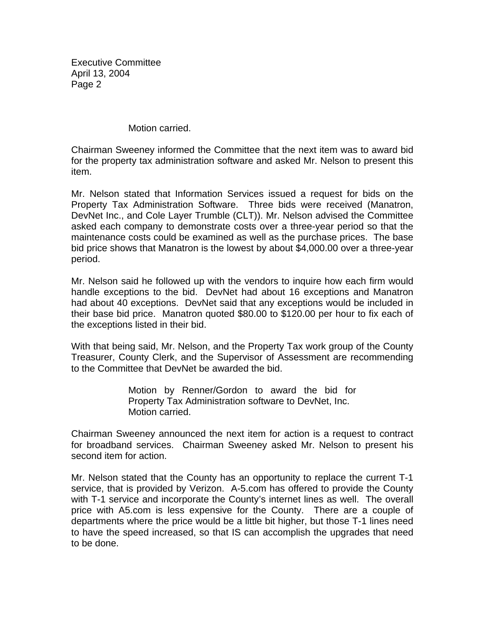Motion carried.

Chairman Sweeney informed the Committee that the next item was to award bid for the property tax administration software and asked Mr. Nelson to present this item.

Mr. Nelson stated that Information Services issued a request for bids on the Property Tax Administration Software. Three bids were received (Manatron, DevNet Inc., and Cole Layer Trumble (CLT)). Mr. Nelson advised the Committee asked each company to demonstrate costs over a three-year period so that the maintenance costs could be examined as well as the purchase prices. The base bid price shows that Manatron is the lowest by about \$4,000.00 over a three-year period.

Mr. Nelson said he followed up with the vendors to inquire how each firm would handle exceptions to the bid. DevNet had about 16 exceptions and Manatron had about 40 exceptions. DevNet said that any exceptions would be included in their base bid price. Manatron quoted \$80.00 to \$120.00 per hour to fix each of the exceptions listed in their bid.

With that being said, Mr. Nelson, and the Property Tax work group of the County Treasurer, County Clerk, and the Supervisor of Assessment are recommending to the Committee that DevNet be awarded the bid.

> Motion by Renner/Gordon to award the bid for Property Tax Administration software to DevNet, Inc. Motion carried.

Chairman Sweeney announced the next item for action is a request to contract for broadband services. Chairman Sweeney asked Mr. Nelson to present his second item for action.

Mr. Nelson stated that the County has an opportunity to replace the current T-1 service, that is provided by Verizon. A-5.com has offered to provide the County with T-1 service and incorporate the County's internet lines as well. The overall price with A5.com is less expensive for the County. There are a couple of departments where the price would be a little bit higher, but those T-1 lines need to have the speed increased, so that IS can accomplish the upgrades that need to be done.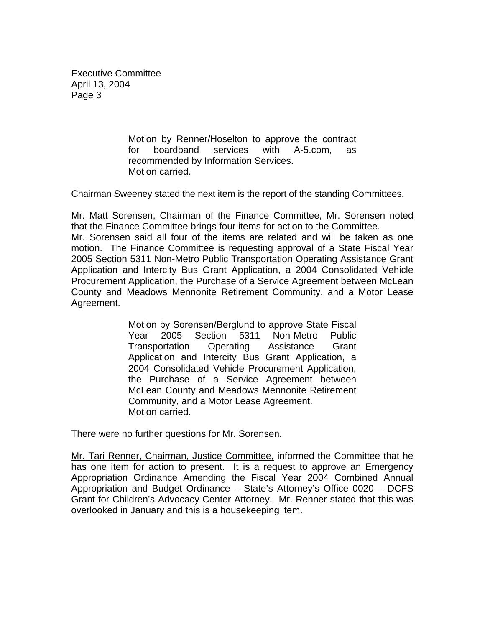> Motion by Renner/Hoselton to approve the contract for boardband services with A-5.com, as recommended by Information Services. Motion carried.

Chairman Sweeney stated the next item is the report of the standing Committees.

Mr. Matt Sorensen, Chairman of the Finance Committee, Mr. Sorensen noted that the Finance Committee brings four items for action to the Committee. Mr. Sorensen said all four of the items are related and will be taken as one motion. The Finance Committee is requesting approval of a State Fiscal Year 2005 Section 5311 Non-Metro Public Transportation Operating Assistance Grant Application and Intercity Bus Grant Application, a 2004 Consolidated Vehicle Procurement Application, the Purchase of a Service Agreement between McLean County and Meadows Mennonite Retirement Community, and a Motor Lease Agreement.

> Motion by Sorensen/Berglund to approve State Fiscal Year 2005 Section 5311 Non-Metro Public Transportation Operating Assistance Grant Application and Intercity Bus Grant Application, a 2004 Consolidated Vehicle Procurement Application, the Purchase of a Service Agreement between McLean County and Meadows Mennonite Retirement Community, and a Motor Lease Agreement. Motion carried.

There were no further questions for Mr. Sorensen.

Mr. Tari Renner, Chairman, Justice Committee, informed the Committee that he has one item for action to present. It is a request to approve an Emergency Appropriation Ordinance Amending the Fiscal Year 2004 Combined Annual Appropriation and Budget Ordinance – State's Attorney's Office 0020 – DCFS Grant for Children's Advocacy Center Attorney. Mr. Renner stated that this was overlooked in January and this is a housekeeping item.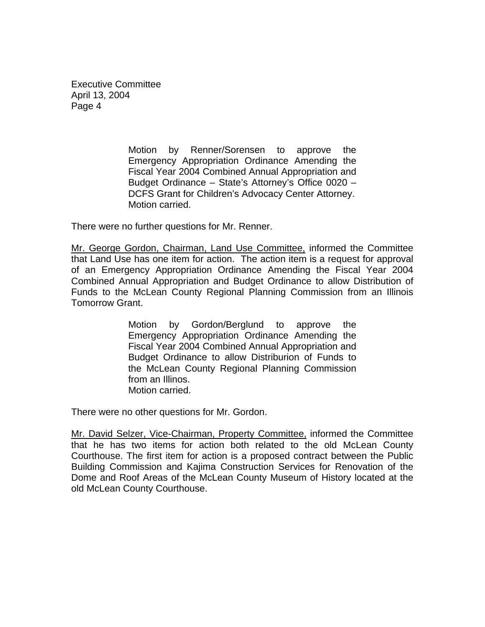> Motion by Renner/Sorensen to approve the Emergency Appropriation Ordinance Amending the Fiscal Year 2004 Combined Annual Appropriation and Budget Ordinance – State's Attorney's Office 0020 – DCFS Grant for Children's Advocacy Center Attorney. Motion carried.

There were no further questions for Mr. Renner.

Mr. George Gordon, Chairman, Land Use Committee, informed the Committee that Land Use has one item for action. The action item is a request for approval of an Emergency Appropriation Ordinance Amending the Fiscal Year 2004 Combined Annual Appropriation and Budget Ordinance to allow Distribution of Funds to the McLean County Regional Planning Commission from an Illinois Tomorrow Grant.

> Motion by Gordon/Berglund to approve the Emergency Appropriation Ordinance Amending the Fiscal Year 2004 Combined Annual Appropriation and Budget Ordinance to allow Distriburion of Funds to the McLean County Regional Planning Commission from an Illinos. Motion carried.

There were no other questions for Mr. Gordon.

Mr. David Selzer, Vice-Chairman, Property Committee, informed the Committee that he has two items for action both related to the old McLean County Courthouse. The first item for action is a proposed contract between the Public Building Commission and Kajima Construction Services for Renovation of the Dome and Roof Areas of the McLean County Museum of History located at the old McLean County Courthouse.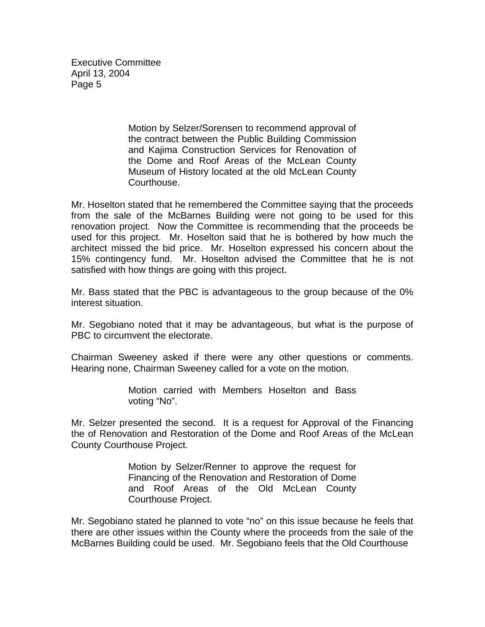> Motion by Selzer/Sorensen to recommend approval of the contract between the Public Building Commission and Kajima Construction Services for Renovation of the Dome and Roof Areas of the McLean County Museum of History located at the old McLean County Courthouse.

Mr. Hoselton stated that he remembered the Committee saying that the proceeds from the sale of the McBarnes Building were not going to be used for this renovation project. Now the Committee is recommending that the proceeds be used for this project. Mr. Hoselton said that he is bothered by how much the architect missed the bid price. Mr. Hoselton expressed his concern about the 15% contingency fund. Mr. Hoselton advised the Committee that he is not satisfied with how things are going with this project.

Mr. Bass stated that the PBC is advantageous to the group because of the 0% interest situation.

Mr. Segobiano noted that it may be advantageous, but what is the purpose of PBC to circumvent the electorate.

Chairman Sweeney asked if there were any other questions or comments. Hearing none, Chairman Sweeney called for a vote on the motion.

> Motion carried with Members Hoselton and Bass voting "No".

Mr. Selzer presented the second. It is a request for Approval of the Financing the of Renovation and Restoration of the Dome and Roof Areas of the McLean County Courthouse Project.

> Motion by Selzer/Renner to approve the request for Financing of the Renovation and Restoration of Dome and Roof Areas of the Old McLean County Courthouse Project.

Mr. Segobiano stated he planned to vote "no" on this issue because he feels that there are other issues within the County where the proceeds from the sale of the McBarnes Building could be used. Mr. Segobiano feels that the Old Courthouse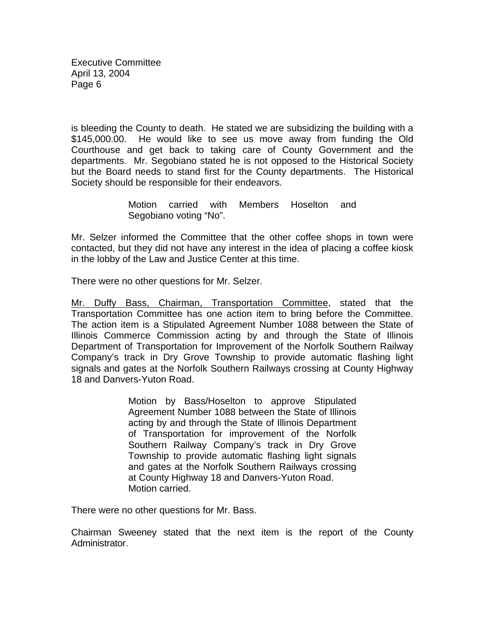is bleeding the County to death. He stated we are subsidizing the building with a \$145,000.00. He would like to see us move away from funding the Old Courthouse and get back to taking care of County Government and the departments. Mr. Segobiano stated he is not opposed to the Historical Society but the Board needs to stand first for the County departments. The Historical Society should be responsible for their endeavors.

> Motion carried with Members Hoselton and Segobiano voting "No".

Mr. Selzer informed the Committee that the other coffee shops in town were contacted, but they did not have any interest in the idea of placing a coffee kiosk in the lobby of the Law and Justice Center at this time.

There were no other questions for Mr. Selzer.

Mr. Duffy Bass, Chairman, Transportation Committee, stated that the Transportation Committee has one action item to bring before the Committee. The action item is a Stipulated Agreement Number 1088 between the State of Illinois Commerce Commission acting by and through the State of Illinois Department of Transportation for Improvement of the Norfolk Southern Railway Company's track in Dry Grove Township to provide automatic flashing light signals and gates at the Norfolk Southern Railways crossing at County Highway 18 and Danvers-Yuton Road.

> Motion by Bass/Hoselton to approve Stipulated Agreement Number 1088 between the State of Illinois acting by and through the State of Illinois Department of Transportation for improvement of the Norfolk Southern Railway Company's track in Dry Grove Township to provide automatic flashing light signals and gates at the Norfolk Southern Railways crossing at County Highway 18 and Danvers-Yuton Road. Motion carried.

There were no other questions for Mr. Bass.

Chairman Sweeney stated that the next item is the report of the County Administrator.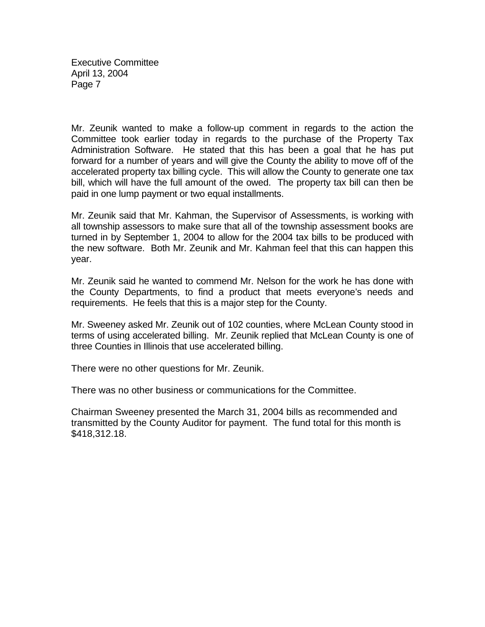Mr. Zeunik wanted to make a follow-up comment in regards to the action the Committee took earlier today in regards to the purchase of the Property Tax Administration Software. He stated that this has been a goal that he has put forward for a number of years and will give the County the ability to move off of the accelerated property tax billing cycle. This will allow the County to generate one tax bill, which will have the full amount of the owed. The property tax bill can then be paid in one lump payment or two equal installments.

Mr. Zeunik said that Mr. Kahman, the Supervisor of Assessments, is working with all township assessors to make sure that all of the township assessment books are turned in by September 1, 2004 to allow for the 2004 tax bills to be produced with the new software. Both Mr. Zeunik and Mr. Kahman feel that this can happen this year.

Mr. Zeunik said he wanted to commend Mr. Nelson for the work he has done with the County Departments, to find a product that meets everyone's needs and requirements. He feels that this is a major step for the County.

Mr. Sweeney asked Mr. Zeunik out of 102 counties, where McLean County stood in terms of using accelerated billing. Mr. Zeunik replied that McLean County is one of three Counties in Illinois that use accelerated billing.

There were no other questions for Mr. Zeunik.

There was no other business or communications for the Committee.

Chairman Sweeney presented the March 31, 2004 bills as recommended and transmitted by the County Auditor for payment. The fund total for this month is \$418,312.18.